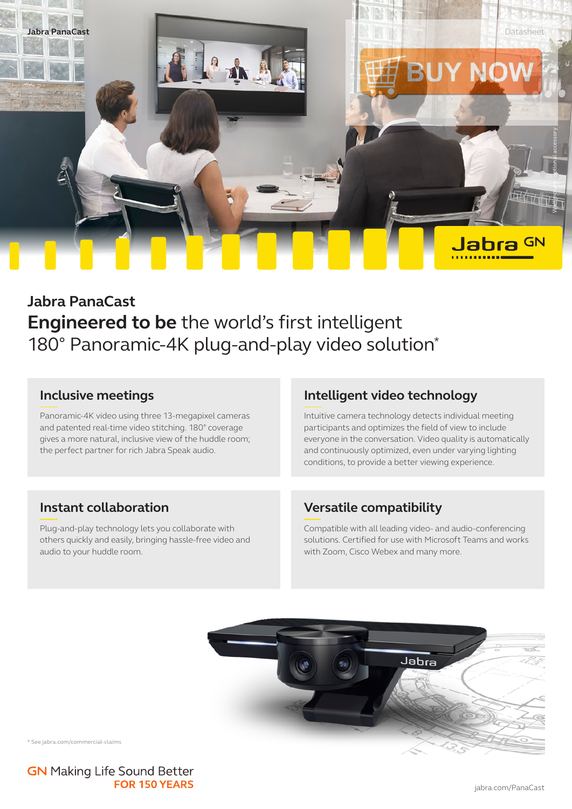

# **Jabra PanaCast Engineered to be** the world's first intelligent 180° Panoramic-4K plug-and-play video solution\*

## **Inclusive meetings**

Panoramic-4K video using three 13-megapixel cameras and patented real-time video stitching. 180° coverage gives a more natural, inclusive view of the huddle room; the perfect partner for rich Jabra Speak audio.

## **Intelligent video technology**

Intuitive camera technology detects individual meeting participants and optimizes the field of view to include everyone in the conversation. Video quality is automatically and continuously optimized, even under varying lighting conditions, to provide a better viewing experience.

## **Instant collaboration**

Plug-and-play technology lets you collaborate with others quickly and easily, bringing hassle-free video and audio to your huddle room.

## **Versatile compatibility**

Compatible with all leading video- and audio-conferencing solutions. Certified for use with Microsoft Teams and works with Zoom, Cisco Webex and many more.



\* See jabra.com/commercial-claims

**GN** Making Life Sound Better **FOR 150 YEARS**